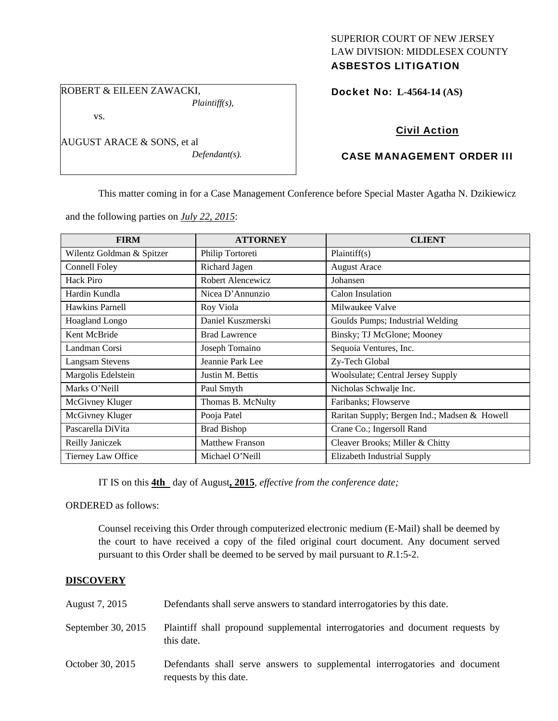## SUPERIOR COURT OF NEW JERSEY LAW DIVISION: MIDDLESEX COUNTY ASBESTOS LITIGATION

ROBERT & EILEEN ZAWACKI,

vs.

AUGUST ARACE & SONS, et al

*Defendant(s).* 

*Plaintiff(s),* 

Docket No: **L-4564-14 (AS)** 

# Civil Action

# CASE MANAGEMENT ORDER III

This matter coming in for a Case Management Conference before Special Master Agatha N. Dzikiewicz

and the following parties on *July 22, 2015*:

| <b>FIRM</b>               | <b>ATTORNEY</b>        | <b>CLIENT</b>                                |
|---------------------------|------------------------|----------------------------------------------|
| Wilentz Goldman & Spitzer | Philip Tortoreti       | Plaintiff(s)                                 |
| Connell Foley             | Richard Jagen          | <b>August Arace</b>                          |
| Hack Piro                 | Robert Alencewicz      | Johansen                                     |
| Hardin Kundla             | Nicea D'Annunzio       | Calon Insulation                             |
| Hawkins Parnell           | Roy Viola              | Milwaukee Valve                              |
| <b>Hoagland Longo</b>     | Daniel Kuszmerski      | Goulds Pumps; Industrial Welding             |
| Kent McBride              | <b>Brad Lawrence</b>   | Binsky; TJ McGlone; Mooney                   |
| Landman Corsi             | Joseph Tomaino         | Sequoia Ventures, Inc.                       |
| <b>Langsam Stevens</b>    | Jeannie Park Lee       | Zy-Tech Global                               |
| Margolis Edelstein        | Justin M. Bettis       | <b>Woolsulate; Central Jersey Supply</b>     |
| Marks O'Neill             | Paul Smyth             | Nicholas Schwalje Inc.                       |
| McGivney Kluger           | Thomas B. McNulty      | Faribanks; Flowserve                         |
| McGivney Kluger           | Pooja Patel            | Raritan Supply; Bergen Ind.; Madsen & Howell |
| Pascarella DiVita         | <b>Brad Bishop</b>     | Crane Co.; Ingersoll Rand                    |
| Reilly Janiczek           | <b>Matthew Franson</b> | Cleaver Brooks; Miller & Chitty              |
| Tierney Law Office        | Michael O'Neill        | Elizabeth Industrial Supply                  |

IT IS on this **4th** day of August**, 2015**, *effective from the conference date;*

ORDERED as follows:

Counsel receiving this Order through computerized electronic medium (E-Mail) shall be deemed by the court to have received a copy of the filed original court document. Any document served pursuant to this Order shall be deemed to be served by mail pursuant to *R*.1:5-2.

# **DISCOVERY**

| August 7, 2015     | Defendants shall serve answers to standard interrogatories by this date.                              |
|--------------------|-------------------------------------------------------------------------------------------------------|
| September 30, 2015 | Plaintiff shall propound supplemental interrogatories and document requests by<br>this date.          |
| October 30, 2015   | Defendants shall serve answers to supplemental interrogatories and document<br>requests by this date. |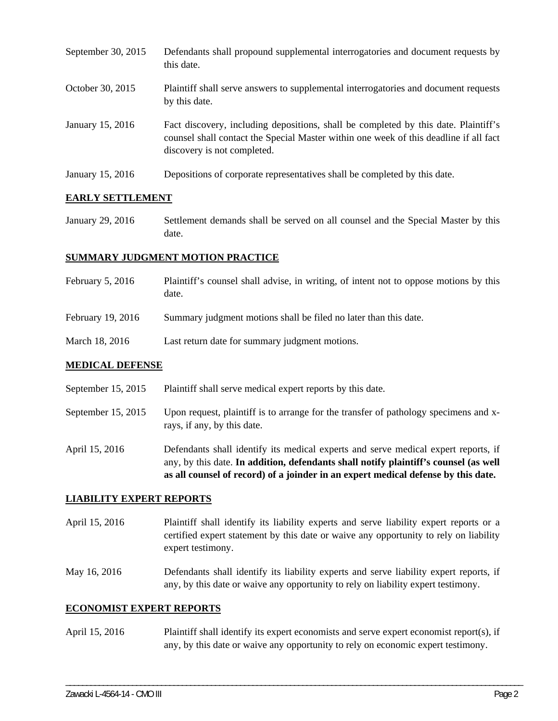September 30, 2015 Defendants shall propound supplemental interrogatories and document requests by this date. October 30, 2015 Plaintiff shall serve answers to supplemental interrogatories and document requests by this date. January 15, 2016 Fact discovery, including depositions, shall be completed by this date. Plaintiff's counsel shall contact the Special Master within one week of this deadline if all fact discovery is not completed. January 15, 2016 Depositions of corporate representatives shall be completed by this date.

### **EARLY SETTLEMENT**

January 29, 2016 Settlement demands shall be served on all counsel and the Special Master by this date.

## **SUMMARY JUDGMENT MOTION PRACTICE**

- February 5, 2016 Plaintiff's counsel shall advise, in writing, of intent not to oppose motions by this date.
- February 19, 2016 Summary judgment motions shall be filed no later than this date.
- March 18, 2016 Last return date for summary judgment motions.

### **MEDICAL DEFENSE**

- September 15, 2015 Plaintiff shall serve medical expert reports by this date.
- September 15, 2015 Upon request, plaintiff is to arrange for the transfer of pathology specimens and xrays, if any, by this date.
- April 15, 2016 Defendants shall identify its medical experts and serve medical expert reports, if any, by this date. **In addition, defendants shall notify plaintiff's counsel (as well as all counsel of record) of a joinder in an expert medical defense by this date.**

### **LIABILITY EXPERT REPORTS**

- April 15, 2016 Plaintiff shall identify its liability experts and serve liability expert reports or a certified expert statement by this date or waive any opportunity to rely on liability expert testimony.
- May 16, 2016 Defendants shall identify its liability experts and serve liability expert reports, if any, by this date or waive any opportunity to rely on liability expert testimony.

### **ECONOMIST EXPERT REPORTS**

April 15, 2016 Plaintiff shall identify its expert economists and serve expert economist report(s), if any, by this date or waive any opportunity to rely on economic expert testimony.

\_\_\_\_\_\_\_\_\_\_\_\_\_\_\_\_\_\_\_\_\_\_\_\_\_\_\_\_\_\_\_\_\_\_\_\_\_\_\_\_\_\_\_\_\_\_\_\_\_\_\_\_\_\_\_\_\_\_\_\_\_\_\_\_\_\_\_\_\_\_\_\_\_\_\_\_\_\_\_\_\_\_\_\_\_\_\_\_\_\_\_\_\_\_\_\_\_\_\_\_\_\_\_\_\_\_\_\_\_\_